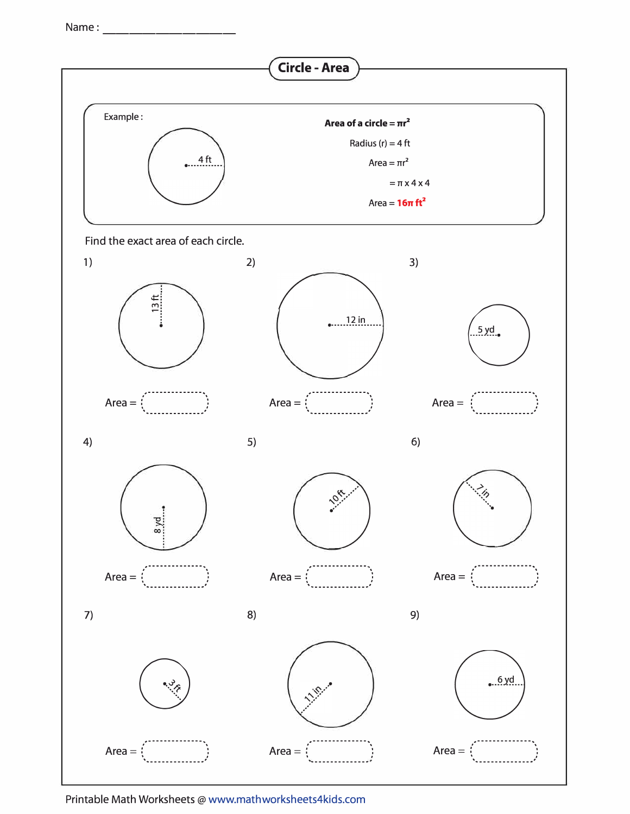Name: ----------

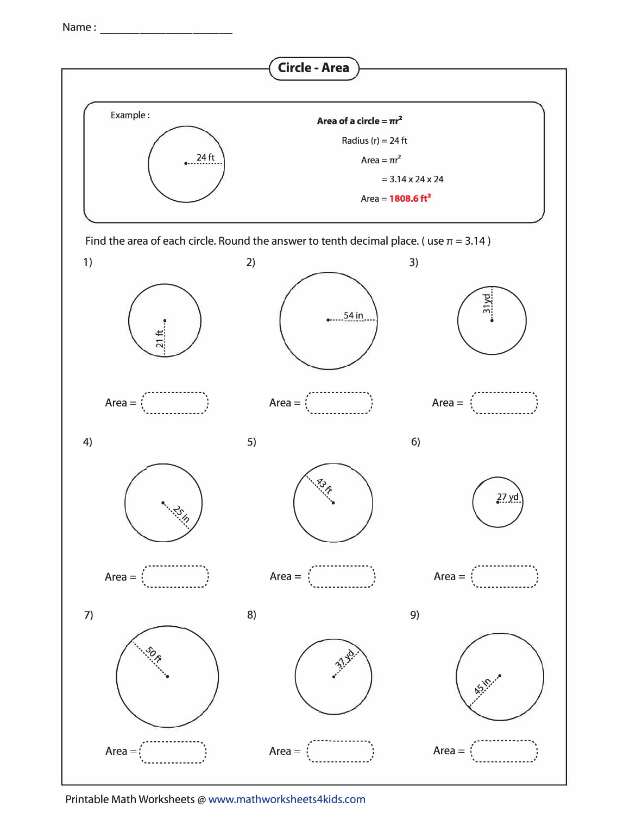Name: ----------

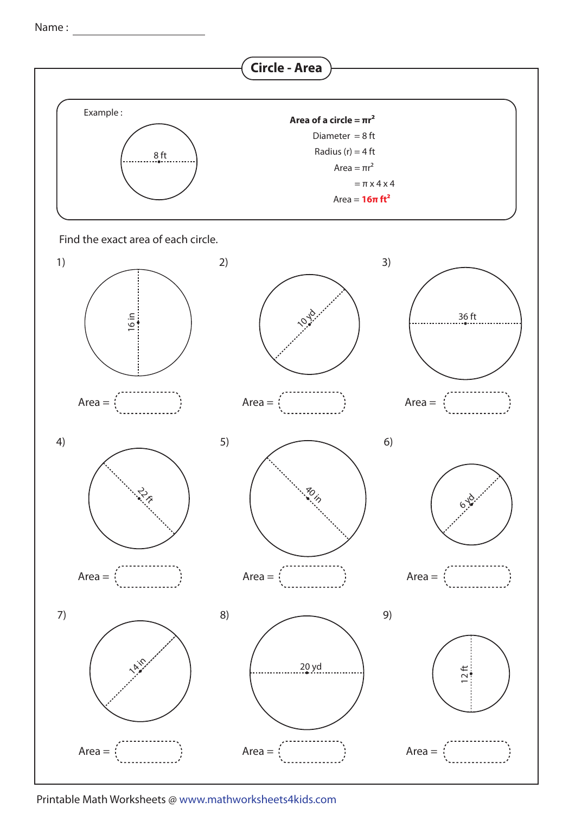Name :

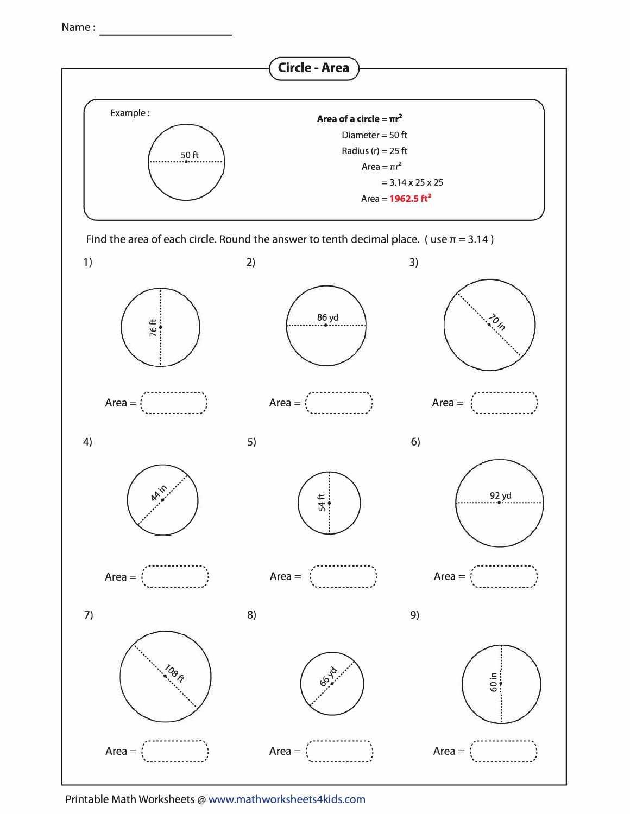Name: